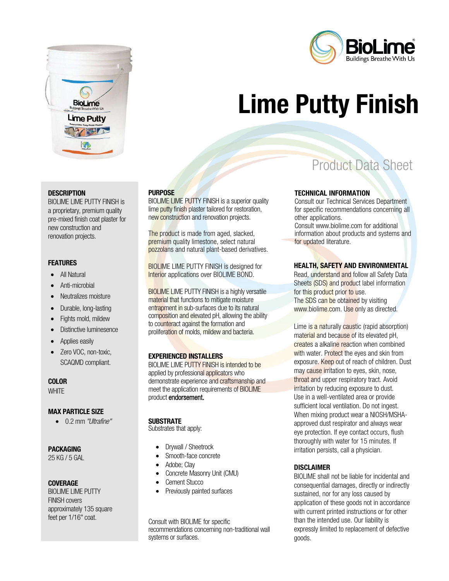



# Lime Putty Finish

#### **DESCRIPTION**

BIOLIME LIME PUTTY FINISH is a proprietary, premium quality pre-mixed finish coat plaster for new construction and renovation projects.

#### **FEATURES**

- All Natural
- Anti-microbial
- Neutralizes moisture
- Durable, long-lasting
- Fights mold, mildew
- Distinctive luminesence
- Applies easily
- Zero VOC, non-toxic, SCAQMD compliant.

#### COLOR

**WHITE** 

#### MAX PARTICLE SIZE

• 0.2 mm "Ultrafine"

#### PACKAGING

25 KG / 5 GAL

#### **COVERAGE**

BIOLIME LIME PUTTY FINISH covers approximately 135 square feet per 1/16" coat.

#### **PURPOSE**

BIOLIME LIME PUTTY FINISH is a superior quality lime putty finish plaster tailored for restoration, new construction and renovation projects.

The product is made from aged, slacked, premium quality limestone, select natural pozzolans and natural plant-based derivatives.

BIOLIME LIME PUTTY FINISH is designed for Interior applications over BIOLIME BOND.

BIOLIME LIME PUTTY FINISH is a highly versatile material that functions to mitigate moisture entrapment in sub-surfaces due to its natural composition and elevated pH, allowing the ability to counteract against the formation and proliferation of molds, mildew and bacteria.

#### EXPERIENCED INSTALLERS

BIOLIME LIME PUTTY FINISH is intended to be applied by professional applicators who demonstrate experience and craftsmanship and meet the application requirements of BIOLIME product endorsement.

#### **SUBSTRATE**

Substrates that apply:

- Drywall / Sheetrock
- Smooth-face concrete
- Adobe; Clay
- Concrete Masonry Unit (CMU)
- Cement Stucco
- Previously painted surfaces

Consult with BIOLIME for specific recommendations concerning non-traditional wall systems or surfaces.

# Product Data Sheet

#### TECHNICAL INFORMATION

Consult our Technical Services Department for specific recommendations concerning all other applications.

Consult www.biolime.com for additional information about products and systems and for updated literature.

#### HEALTH, SAFETY AND ENVIRONMENTAL

Read, understand and follow all Safety Data Sheets (SDS) and product label information for this product prior to use. The SDS can be obtained by visiting www.biolime.com. Use only as directed.

Lime is a naturally caustic (rapid absorption) material and because of its elevated pH. creates a alkaline reaction when combined with water. Protect the eyes and skin from exposure. Keep out of reach of children. Dust may cause irritation to eyes, skin, nose, throat and upper respiratory tract. Avoid irritation by reducing exposure to dust. Use in a well-ventilated area or provide sufficient local ventilation. Do not ingest. When mixing product wear a NIOSH/MSHAapproved dust respirator and always wear eye protection. If eye contact occurs, flush thoroughly with water for 15 minutes. If irritation persists, call a physician.

#### DISCLAIMER

BIOLIME shall not be liable for incidental and consequential damages, directly or indirectly sustained, nor for any loss caused by application of these goods not in accordance with current printed instructions or for other than the intended use. Our liability is expressly limited to replacement of defective goods.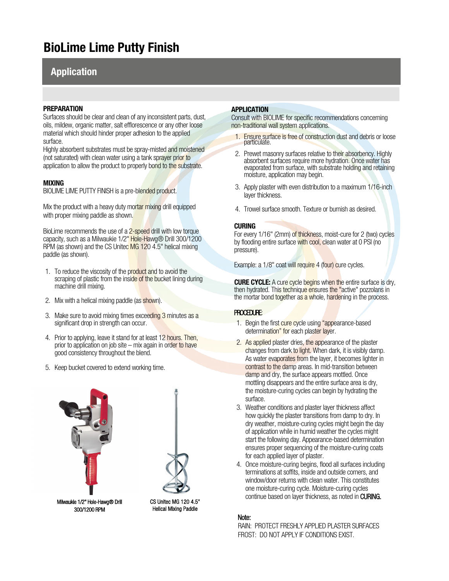## BioLime Lime Putty Finish

## Application

#### PREPARATION

Surfaces should be clear and clean of any inconsistent parts, dust, oils, mildew, organic matter, salt efflorescence or any other loose material which should hinder proper adhesion to the applied surface.

Highly absorbent substrates must be spray-misted and moistened (not saturated) with clean water using a tank sprayer prior to application to allow the product to properly bond to the substrate.

#### MIXING

BIOLIME LIME PUTTY FINISH is a pre-blended product.

Mix the product with a heavy duty mortar mixing drill equipped with proper mixing paddle as shown.

BioLime recommends the use of a 2-speed drill with low torque capacity, such as a Milwaukie 1/2" Hole-Hawg® Drill 300/1200 RPM (as shown) and the CS United MG 120 4.5" helical mixing paddle (as shown).

- 1. To reduce the viscosity of the product and to avoid the scraping of plastic from the inside of the bucket lining during machine drill mixing.
- 2. Mix with a helical mixing paddle (as shown).
- 3. Make sure to avoid mixing times exceeding 3 minutes as a significant drop in strength can occur.
- 4. Prior to applying, leave it stand for at least 12 hours. Then, prior to application on job site – mix again in order to have good consistency throughout the blend.
- 5. Keep bucket covered to extend working time.



Milwaukie 1/2" Hole-Hawg® Drill 300/1200 RPM

CS Unitec MG 120 4.5" Helical Mixing Paddle

#### APPLICATION

Consult with BIOLIME for specific recommendations concerning non-traditional wall system applications.

- 1. Ensure surface is free of construction dust and debris or loose particulate.
- 2. Prewet masonry surfaces relative to their absorbency. Highly absorbent surfaces require more hydration. Once water has evaporated from surface, with substrate holding and retaining moisture, application may begin.
- 3. Apply plaster with even distribution to a maximum 1/16-inch layer thickness.
- 4. Trowel surface smooth. Texture or burnish as desired.

#### CURING

For every 1/16" (2mm) of thickness, moist-cure for 2 (two) cycles by flooding entire surface with cool, clean water at 0 PSI (no pressure).

Example: a 1/8" coat will require 4 (four) cure cycles.

**CURE CYCLE:** A cure cycle begins when the entire surface is dry, then hydrated. This technique ensures the "active" pozzolans in the mortar bond together as a whole, hardening in the process.

#### PROCEDURE:

- 1. Begin the first cure cycle using "appearance-based determination" for each plaster layer.
- 2. As applied plaster dries, the appearance of the plaster changes from dark to light. When dark, it is visibly damp. As water evaporates from the layer, it becomes lighter in contrast to the damp areas. In mid-transition between damp and dry, the surface appears mottled. Once mottling disappears and the entire surface area is dry, the moisture-curing cycles can begin by hydrating the surface.
- 3. Weather conditions and plaster layer thickness affect how quickly the plaster transitions from damp to dry. In dry weather, moisture-curing cycles might begin the day of application while in humid weather the cycles might start the following day. Appearance-based determination ensures proper sequencing of the moisture-curing coats for each applied layer of plaster.
- 4. Once moisture-curing begins, flood all surfaces including terminations at soffits, inside and outside corners, and window/door returns with clean water. This constitutes one moisture-curing cycle. Moisture-curing cycles continue based on layer thickness, as noted in CURING.

#### Note:

RAIN: PROTECT FRESHLY APPLIED PLASTER SURFACES FROST: DO NOT APPLY IF CONDITIONS EXIST.